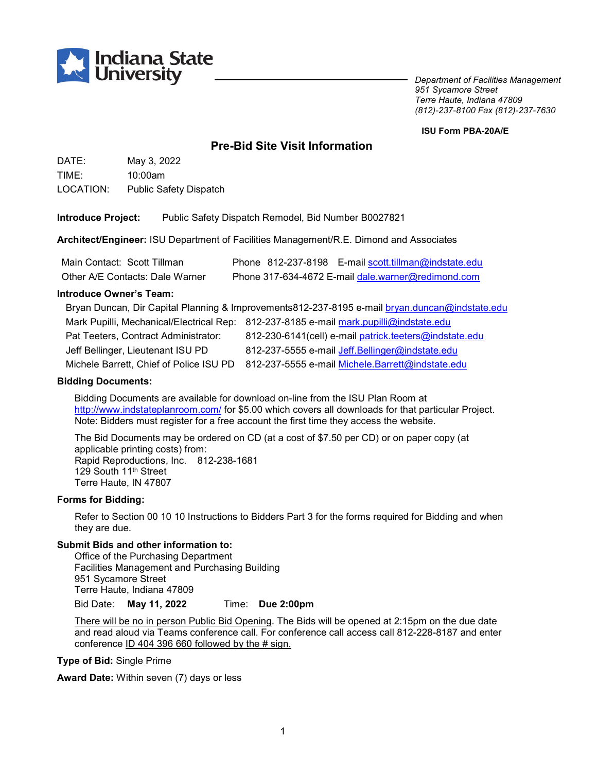

*Department of Facilities Management 951 Sycamore Street Terre Haute, Indiana 47809 (812)-237-8100 Fax (812)-237-7630*

#### **ISU Form PBA-20A/E**

# **Pre-Bid Site Visit Information**

DATE: May 3, 2022 TIME: 10:00am LOCATION: Public Safety Dispatch

**Introduce Project:** Public Safety Dispatch Remodel, Bid Number B0027821

**Architect/Engineer:** ISU Department of Facilities Management/R.E. Dimond and Associates

| Main Contact: Scott Tillman     | Phone 812-237-8198 E-mail scott.tillman@indstate.edu |
|---------------------------------|------------------------------------------------------|
| Other A/E Contacts: Dale Warner | Phone 317-634-4672 E-mail dale.warner@redimond.com   |

#### **Introduce Owner's Team:**

| Bryan Duncan, Dir Capital Planning & Improvements812-237-8195 e-mail bryan.duncan@indstate.edu |                                                                                          |  |
|------------------------------------------------------------------------------------------------|------------------------------------------------------------------------------------------|--|
|                                                                                                | Mark Pupilli, Mechanical/Electrical Rep: 812-237-8185 e-mail mark.pupilli@indstate.edu   |  |
| Pat Teeters, Contract Administrator:                                                           | 812-230-6141(cell) e-mail patrick.teeters@indstate.edu                                   |  |
| Jeff Bellinger, Lieutenant ISU PD                                                              | 812-237-5555 e-mail Jeff.Bellinger@indstate.edu                                          |  |
|                                                                                                | Michele Barrett, Chief of Police ISU PD 812-237-5555 e-mail Michele.Barrett@indstate.edu |  |

#### **Bidding Documents:**

Bidding Documents are available for download on-line from the ISU Plan Room at <http://www.indstateplanroom.com/> for \$5.00 which covers all downloads for that particular Project. Note: Bidders must register for a free account the first time they access the website.

The Bid Documents may be ordered on CD (at a cost of \$7.50 per CD) or on paper copy (at applicable printing costs) from: Rapid Reproductions, Inc. 812-238-1681 129 South 11th Street Terre Haute, IN 47807

#### **Forms for Bidding:**

Refer to Section 00 10 10 Instructions to Bidders Part 3 for the forms required for Bidding and when they are due.

#### **Submit Bids and other information to:**

Office of the Purchasing Department Facilities Management and Purchasing Building 951 Sycamore Street Terre Haute, Indiana 47809 Bid Date: **May 11, 2022** Time: **Due 2:00pm**

There will be no in person Public Bid Opening. The Bids will be opened at 2:15pm on the due date and read aloud via Teams conference call. For conference call access call 812-228-8187 and enter conference  $ID$  404 396 660 followed by the # sign.

**Type of Bid:** Single Prime

**Award Date:** Within seven (7) days or less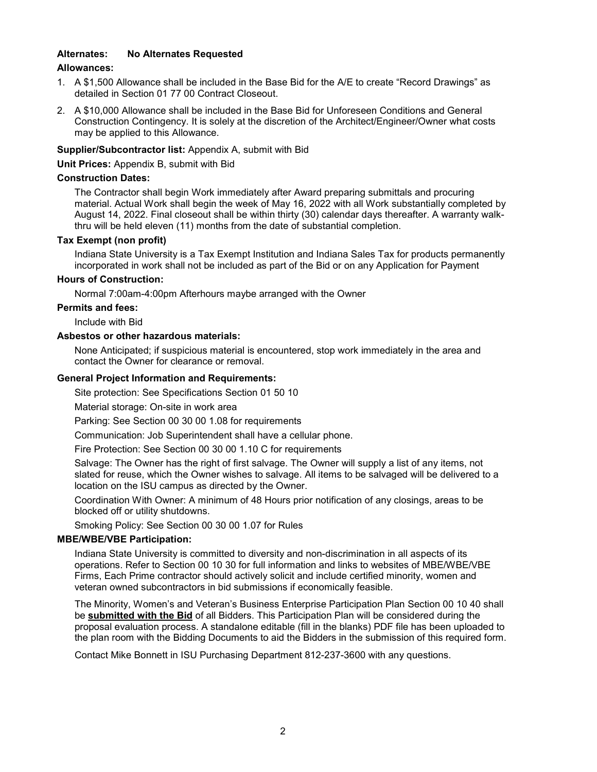#### **Alternates: No Alternates Requested**

#### **Allowances:**

- 1. A \$1,500 Allowance shall be included in the Base Bid for the A/E to create "Record Drawings" as detailed in Section 01 77 00 Contract Closeout.
- 2. A \$10,000 Allowance shall be included in the Base Bid for Unforeseen Conditions and General Construction Contingency. It is solely at the discretion of the Architect/Engineer/Owner what costs may be applied to this Allowance.

## **Supplier/Subcontractor list:** Appendix A, submit with Bid

**Unit Prices:** Appendix B, submit with Bid

#### **Construction Dates:**

The Contractor shall begin Work immediately after Award preparing submittals and procuring material. Actual Work shall begin the week of May 16, 2022 with all Work substantially completed by August 14, 2022. Final closeout shall be within thirty (30) calendar days thereafter. A warranty walkthru will be held eleven (11) months from the date of substantial completion.

## **Tax Exempt (non profit)**

Indiana State University is a Tax Exempt Institution and Indiana Sales Tax for products permanently incorporated in work shall not be included as part of the Bid or on any Application for Payment

## **Hours of Construction:**

Normal 7:00am-4:00pm Afterhours maybe arranged with the Owner

## **Permits and fees:**

Include with Bid

## **Asbestos or other hazardous materials:**

None Anticipated; if suspicious material is encountered, stop work immediately in the area and contact the Owner for clearance or removal.

## **General Project Information and Requirements:**

Site protection: See Specifications Section 01 50 10

Material storage: On-site in work area

Parking: See Section 00 30 00 1.08 for requirements

Communication: Job Superintendent shall have a cellular phone.

Fire Protection: See Section 00 30 00 1.10 C for requirements

Salvage: The Owner has the right of first salvage. The Owner will supply a list of any items, not slated for reuse, which the Owner wishes to salvage. All items to be salvaged will be delivered to a location on the ISU campus as directed by the Owner.

Coordination With Owner: A minimum of 48 Hours prior notification of any closings, areas to be blocked off or utility shutdowns.

Smoking Policy: See Section 00 30 00 1.07 for Rules

#### **MBE/WBE/VBE Participation:**

Indiana State University is committed to diversity and non-discrimination in all aspects of its operations. Refer to Section 00 10 30 for full information and links to websites of MBE/WBE/VBE Firms, Each Prime contractor should actively solicit and include certified minority, women and veteran owned subcontractors in bid submissions if economically feasible.

The Minority, Women's and Veteran's Business Enterprise Participation Plan Section 00 10 40 shall be **submitted with the Bid** of all Bidders. This Participation Plan will be considered during the proposal evaluation process. A standalone editable (fill in the blanks) PDF file has been uploaded to the plan room with the Bidding Documents to aid the Bidders in the submission of this required form.

Contact Mike Bonnett in ISU Purchasing Department 812-237-3600 with any questions.